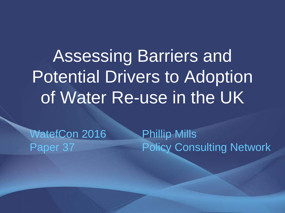Assessing Barriers and Potential Drivers to Adoption of Water Re-use in the UK

WatefCon 2016 Paper 37

Phillip Mills Policy Consulting Network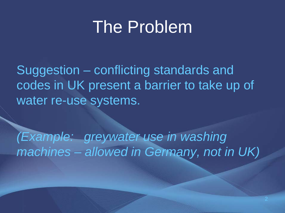### The Problem

Suggestion – conflicting standards and codes in UK present a barrier to take up of water re-use systems.

*(Example: greywater use in washing machines – allowed in Germany, not in UK)*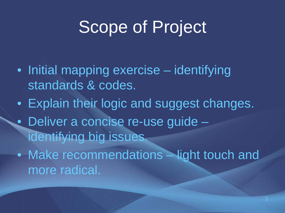## Scope of Project

- Initial mapping exercise identifying standards & codes.
- Explain their logic and suggest changes.
- Deliver a concise re-use guide identifying big issues.
- Make recommendations light touch and more radical.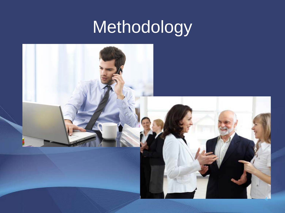# Methodology

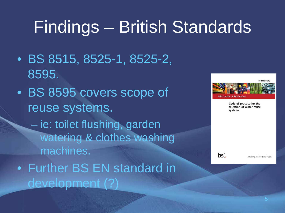# Findings – British Standards

- BS 8515, 8525-1, 8525-2, 8595.
- BS 8595 covers scope of reuse systems.
	- ie: toilet flushing, garden watering & clothes washing machines.
- Further BS EN standard in development (?)



Code of practice for the selection of water reuse systems

bsi.

.making excellence a habit.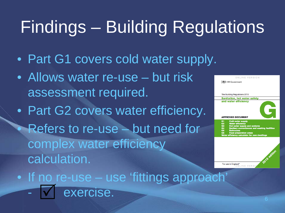# Findings – Building Regulations

- Part G1 covers cold water supply.
- Allows water re-use but risk assessment required.
- Part G2 covers water efficiency. Refers to re-use – but need for complex water efficiency calculation.



• If no re-use – use 'fittings approach' exercise.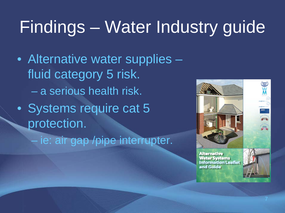# Findings – Water Industry guide

- Alternative water supplies fluid category 5 risk. – a serious health risk.
- Systems require cat 5 protection.
	- ie: air gap /pipe interrupter.



**Alternative Water Systems Information Leaflet** and Guide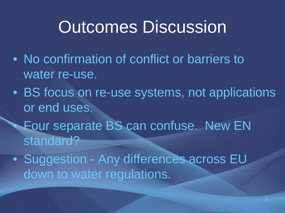### Outcomes Discussion

- No confirmation of conflict or barriers to water re-use.
- BS focus on re-use systems, not applications or end uses.
	- Four separate BS can confuse. New EN standard?
- Suggestion Any differences across EU down to water regulations.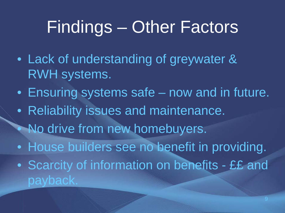## Findings – Other Factors

- Lack of understanding of greywater & RWH systems.
- Ensuring systems safe now and in future.
- Reliability issues and maintenance.
- No drive from new homebuyers.
- House builders see no benefit in providing.
- Scarcity of information on benefits ££ and payback.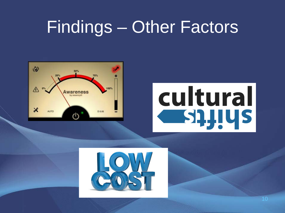### Findings – Other Factors



# cultural **SQUUS**

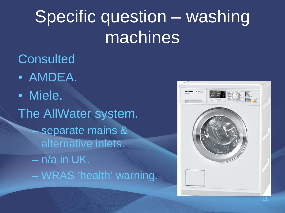# Specific question – washing machines

#### **Consulted**

- AMDEA.
- Miele. The AllWater system. – separate mains & alternative inlets. – n/a in UK. – WRAS 'health' warning.

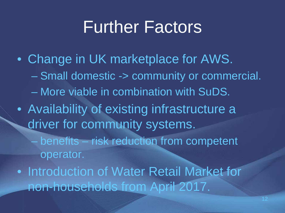### Further Factors

• Change in UK marketplace for AWS. – Small domestic -> community or commercial. – More viable in combination with SuDS. • Availability of existing infrastructure a driver for community systems. – benefits – risk reduction from competent operator. • Introduction of Water Retail Market for non-households from April 2017.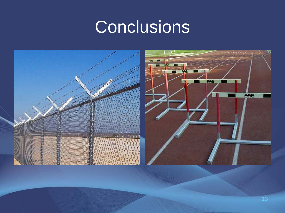## **Conclusions**

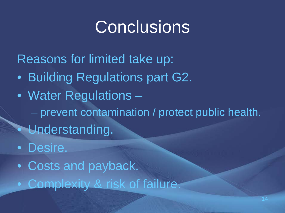## **Conclusions**

Reasons for limited take up: • Building Regulations part G2. • Water Regulations – – prevent contamination / protect public health. • Understanding.

• Desire.

• Costs and payback.

• Complexity & risk of failure.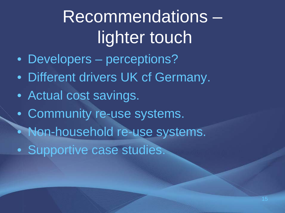# Recommendations – lighter touch

- Developers perceptions?
- Different drivers UK cf Germany.
- Actual cost savings.
- Community re-use systems.
- Non-household re-use systems.
- Supportive case studies.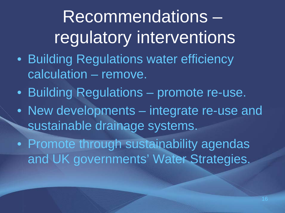# Recommendations – regulatory interventions

- Building Regulations water efficiency calculation – remove.
- Building Regulations promote re-use.
- New developments integrate re-use and sustainable drainage systems.

• Promote through sustainability agendas and UK governments' Water Strategies.